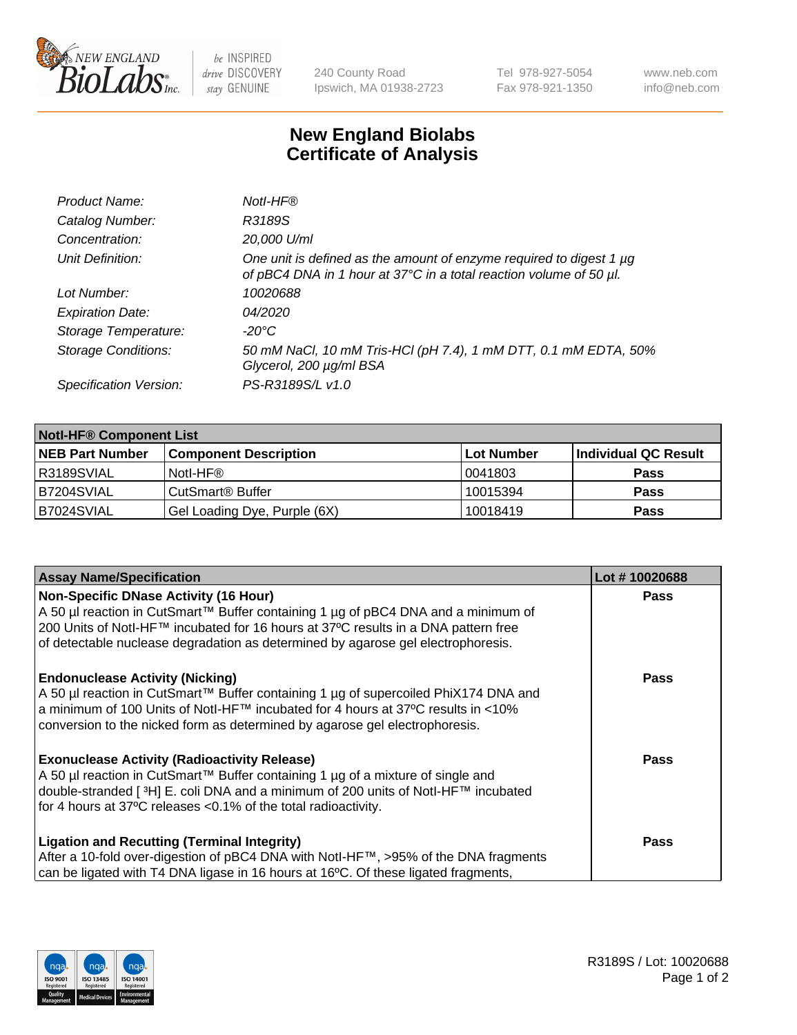

 $be$  INSPIRED drive DISCOVERY stay GENUINE

240 County Road Ipswich, MA 01938-2723 Tel 978-927-5054 Fax 978-921-1350 www.neb.com info@neb.com

## **New England Biolabs Certificate of Analysis**

| Product Name:              | Notl-HF®                                                                                                                                  |
|----------------------------|-------------------------------------------------------------------------------------------------------------------------------------------|
| Catalog Number:            | R3189S                                                                                                                                    |
| Concentration:             | 20,000 U/ml                                                                                                                               |
| Unit Definition:           | One unit is defined as the amount of enzyme required to digest 1 µg<br>of pBC4 DNA in 1 hour at 37°C in a total reaction volume of 50 µl. |
| Lot Number:                | 10020688                                                                                                                                  |
| <b>Expiration Date:</b>    | 04/2020                                                                                                                                   |
| Storage Temperature:       | $-20^{\circ}$ C                                                                                                                           |
| <b>Storage Conditions:</b> | 50 mM NaCl, 10 mM Tris-HCl (pH 7.4), 1 mM DTT, 0.1 mM EDTA, 50%<br>Glycerol, 200 µg/ml BSA                                                |
| Specification Version:     | PS-R3189S/L v1.0                                                                                                                          |

| <b>Notl-HF® Component List</b> |                                    |                   |                      |  |  |
|--------------------------------|------------------------------------|-------------------|----------------------|--|--|
| <b>NEB Part Number</b>         | <b>Component Description</b>       | <b>Lot Number</b> | Individual QC Result |  |  |
| R3189SVIAL                     | Notl-HF®                           | 10041803          | <b>Pass</b>          |  |  |
| B7204SVIAL                     | <b>CutSmart<sup>®</sup> Buffer</b> | 10015394          | <b>Pass</b>          |  |  |
| B7024SVIAL                     | Gel Loading Dye, Purple (6X)       | 10018419          | <b>Pass</b>          |  |  |

| <b>Assay Name/Specification</b>                                                                | Lot #10020688 |
|------------------------------------------------------------------------------------------------|---------------|
| <b>Non-Specific DNase Activity (16 Hour)</b>                                                   | <b>Pass</b>   |
| A 50 µl reaction in CutSmart™ Buffer containing 1 µg of pBC4 DNA and a minimum of              |               |
| 200 Units of Notl-HF™ incubated for 16 hours at 37°C results in a DNA pattern free             |               |
| of detectable nuclease degradation as determined by agarose gel electrophoresis.               |               |
| <b>Endonuclease Activity (Nicking)</b>                                                         | <b>Pass</b>   |
| A 50 µl reaction in CutSmart™ Buffer containing 1 µg of supercoiled PhiX174 DNA and            |               |
| a minimum of 100 Units of Notl-HF™ incubated for 4 hours at 37°C results in <10%               |               |
| conversion to the nicked form as determined by agarose gel electrophoresis.                    |               |
| <b>Exonuclease Activity (Radioactivity Release)</b>                                            | <b>Pass</b>   |
| A 50 µl reaction in CutSmart™ Buffer containing 1 µg of a mixture of single and                |               |
| double-stranded [ <sup>3</sup> H] E. coli DNA and a minimum of 200 units of Notl-HF™ incubated |               |
| for 4 hours at 37°C releases <0.1% of the total radioactivity.                                 |               |
| <b>Ligation and Recutting (Terminal Integrity)</b>                                             | Pass          |
| After a 10-fold over-digestion of pBC4 DNA with Notl-HF™, >95% of the DNA fragments            |               |
| can be ligated with T4 DNA ligase in 16 hours at 16 $\degree$ C. Of these ligated fragments,   |               |